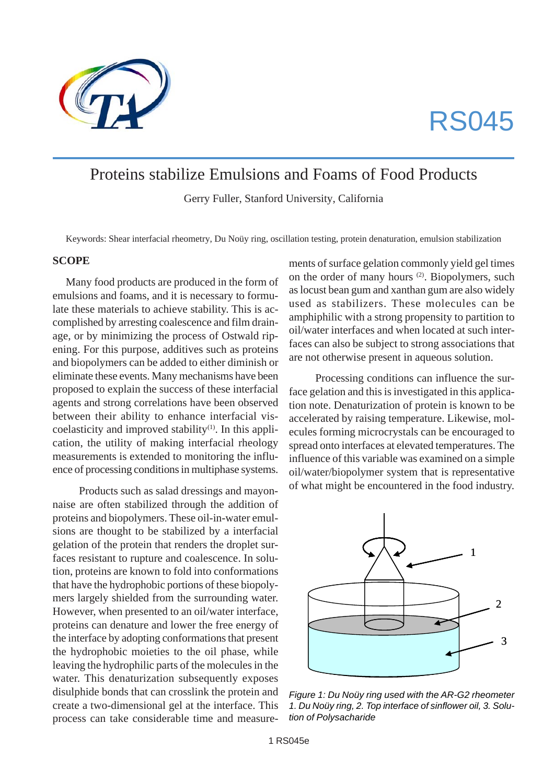

# RS045

# Proteins stabilize Emulsions and Foams of Food Products

Gerry Fuller, Stanford University, California

Keywords: Shear interfacial rheometry, Du Noüy ring, oscillation testing, protein denaturation, emulsion stabilization

#### **SCOPE**

Many food products are produced in the form of emulsions and foams, and it is necessary to formulate these materials to achieve stability. This is accomplished by arresting coalescence and film drainage, or by minimizing the process of Ostwald ripening. For this purpose, additives such as proteins and biopolymers can be added to either diminish or eliminate these events. Many mechanisms have been proposed to explain the success of these interfacial agents and strong correlations have been observed between their ability to enhance interfacial viscoelasticity and improved stability $(1)$ . In this application, the utility of making interfacial rheology measurements is extended to monitoring the influence of processing conditions in multiphase systems.

Products such as salad dressings and mayonnaise are often stabilized through the addition of proteins and biopolymers. These oil-in-water emulsions are thought to be stabilized by a interfacial gelation of the protein that renders the droplet surfaces resistant to rupture and coalescence. In solution, proteins are known to fold into conformations that have the hydrophobic portions of these biopolymers largely shielded from the surrounding water. However, when presented to an oil/water interface, proteins can denature and lower the free energy of the interface by adopting conformations that present the hydrophobic moieties to the oil phase, while leaving the hydrophilic parts of the molecules in the water. This denaturization subsequently exposes disulphide bonds that can crosslink the protein and create a two-dimensional gel at the interface. This process can take considerable time and measurements of surface gelation commonly yield gel times on the order of many hours (2). Biopolymers, such as locust bean gum and xanthan gum are also widely used as stabilizers. These molecules can be amphiphilic with a strong propensity to partition to oil/water interfaces and when located at such interfaces can also be subject to strong associations that are not otherwise present in aqueous solution.

Processing conditions can influence the surface gelation and this is investigated in this application note. Denaturization of protein is known to be accelerated by raising temperature. Likewise, molecules forming microcrystals can be encouraged to spread onto interfaces at elevated temperatures. The influence of this variable was examined on a simple oil/water/biopolymer system that is representative of what might be encountered in the food industry.



*Figure 1: Du Noüy ring used with the AR-G2 rheometer 1. Du Noüy ring, 2. Top interface of sinflower oil, 3. Solution of Polysacharide*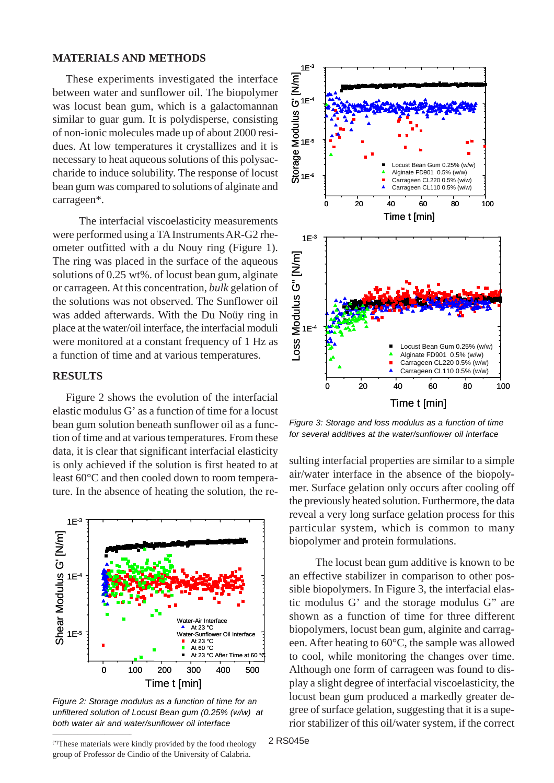#### **MATERIALS AND METHODS**

These experiments investigated the interface between water and sunflower oil. The biopolymer was locust bean gum, which is a galactomannan similar to guar gum. It is polydisperse, consisting of non-ionic molecules made up of about 2000 residues. At low temperatures it crystallizes and it is necessary to heat aqueous solutions of this polysaccharide to induce solubility. The response of locust bean gum was compared to solutions of alginate and carrageen\*.

The interfacial viscoelasticity measurements were performed using a TA Instruments AR-G2 rheometer outfitted with a du Nouy ring (Figure 1). The ring was placed in the surface of the aqueous solutions of 0.25 wt%. of locust bean gum, alginate or carrageen. At this concentration, *bulk* gelation of the solutions was not observed. The Sunflower oil was added afterwards. With the Du Noüy ring in place at the water/oil interface, the interfacial moduli were monitored at a constant frequency of 1 Hz as a function of time and at various temperatures.

#### **RESULTS**

Figure 2 shows the evolution of the interfacial elastic modulus G' as a function of time for a locust bean gum solution beneath sunflower oil as a function of time and at various temperatures. From these data, it is clear that significant interfacial elasticity is only achieved if the solution is first heated to at least 60°C and then cooled down to room temperature. In the absence of heating the solution, the re-



*Figure 2: Storage modulus as a function of time for an unfiltered solution of Locust Bean gum (0.25% (w/w) at both water air and water/sunflower oil interface*



 $\mathcal{L}_\text{max}$  and  $\mathcal{L}_\text{max}$  are the set of the set of the set of the set of the set of the set of the set of the set of the set of the set of the set of the set of the set of the set of the set of the set of the set o



*Figure 3: Storage and loss modulus as a function of time for several additives at the water/sunflower oil interface*

sulting interfacial properties are similar to a simple air/water interface in the absence of the biopolymer. Surface gelation only occurs after cooling off the previously heated solution. Furthermore, the data reveal a very long surface gelation process for this particular system, which is common to many biopolymer and protein formulations.

The locust bean gum additive is known to be an effective stabilizer in comparison to other possible biopolymers. In Figure 3, the interfacial elastic modulus G' and the storage modulus G" are shown as a function of time for three different biopolymers, locust bean gum, alginite and carrageen. After heating to 60°C, the sample was allowed to cool, while monitoring the changes over time. Although one form of carrageen was found to display a slight degree of interfacial viscoelasticity, the locust bean gum produced a markedly greater degree of surface gelation, suggesting that it is a superior stabilizer of this oil/water system, if the correct

2 RS045e